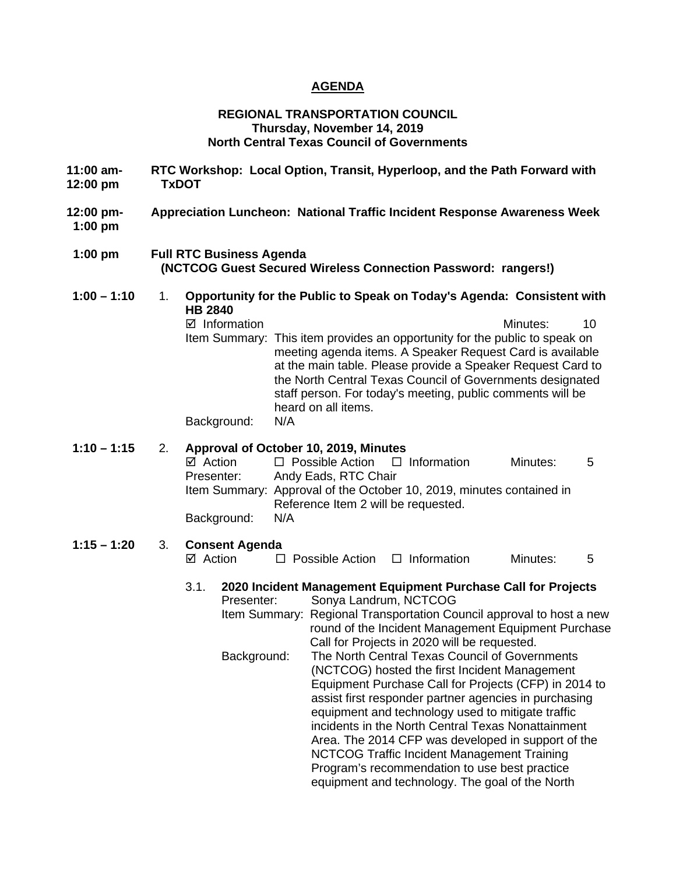## **AGENDA**

#### **REGIONAL TRANSPORTATION COUNCIL Thursday, November 14, 2019 North Central Texas Council of Governments**

- **11:00 am- RTC Workshop: Local Option, Transit, Hyperloop, and the Path Forward with 12:00 pm TxDOT**
- **12:00 pm- Appreciation Luncheon: National Traffic Incident Response Awareness Week 1:00 pm**
- **1:00 pm Full RTC Business Agenda (NCTCOG Guest Secured Wireless Connection Password: rangers!)**
- **1:00 – 1:10** 1. **Opportunity for the Public to Speak on Today's Agenda: Consistent with HB 2840**  Information Minutes: 10 Item Summary: This item provides an opportunity for the public to speak on meeting agenda items. A Speaker Request Card is available at the main table. Please provide a Speaker Request Card to the North Central Texas Council of Governments designated staff person. For today's meeting, public comments will be heard on all items.

Background: N/A

## **1:10 – 1:15** 2. **Approval of October 10, 2019, Minutes**

 $\boxtimes$  Action  $\square$  Possible Action  $\square$  Information Minutes: 5 Presenter: Andy Eads, RTC Chair Item Summary: Approval of the October 10, 2019, minutes contained in Reference Item 2 will be requested. Background: N/A

# **1:15 – 1:20** 3. **Consent Agenda**

 $\Box$  Possible Action  $\Box$  Information Minutes: 5

## 3.1. **2020 Incident Management Equipment Purchase Call for Projects**

Presenter: Sonya Landrum, NCTCOG Item Summary: Regional Transportation Council approval to host a new round of the Incident Management Equipment Purchase Call for Projects in 2020 will be requested. Background: The North Central Texas Council of Governments (NCTCOG) hosted the first Incident Management Equipment Purchase Call for Projects (CFP) in 2014 to assist first responder partner agencies in purchasing equipment and technology used to mitigate traffic incidents in the North Central Texas Nonattainment Area. The 2014 CFP was developed in support of the NCTCOG Traffic Incident Management Training Program's recommendation to use best practice equipment and technology. The goal of the North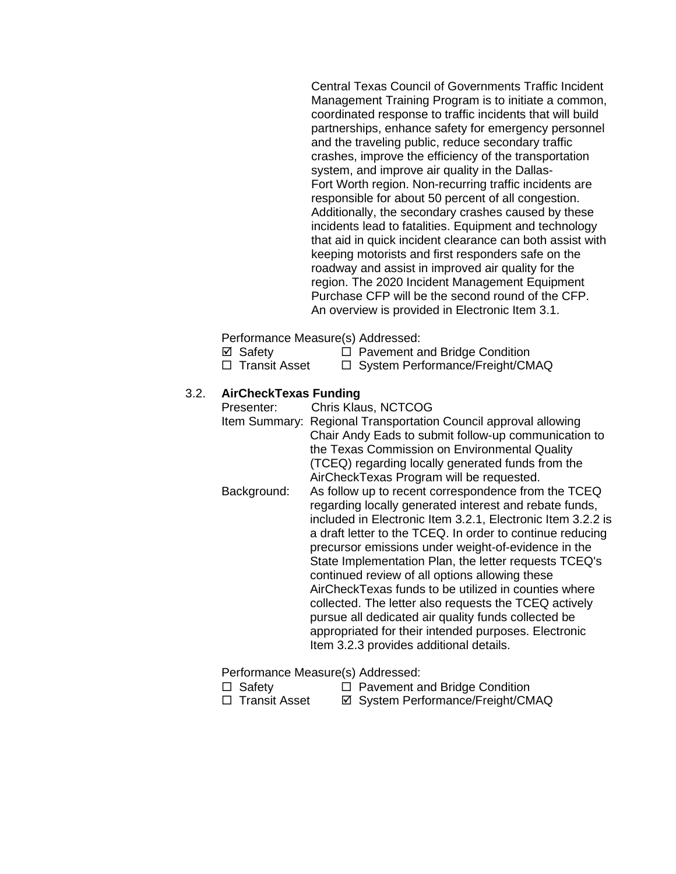Central Texas Council of Governments Traffic Incident Management Training Program is to initiate a common, coordinated response to traffic incidents that will build partnerships, enhance safety for emergency personnel and the traveling public, reduce secondary traffic crashes, improve the efficiency of the transportation system, and improve air quality in the Dallas-Fort Worth region. Non-recurring traffic incidents are responsible for about 50 percent of all congestion. Additionally, the secondary crashes caused by these incidents lead to fatalities. Equipment and technology that aid in quick incident clearance can both assist with keeping motorists and first responders safe on the roadway and assist in improved air quality for the region. The 2020 Incident Management Equipment Purchase CFP will be the second round of the CFP. An overview is provided in Electronic Item 3.1.

Performance Measure(s) Addressed:

- $\boxtimes$  Safety  $\Box$  Pavement and Bridge Condition
- $\Box$  Transit Asset  $\Box$  System Performance/Freight/CMAQ

# 3.2. **AirCheckTexas Funding**

Presenter: Chris Klaus, NCTCOG Item Summary: Regional Transportation Council approval allowing Chair Andy Eads to submit follow-up communication to the Texas Commission on Environmental Quality (TCEQ) regarding locally generated funds from the AirCheckTexas Program will be requested. Background: As follow up to recent correspondence from the TCEQ regarding locally generated interest and rebate funds, included in Electronic Item 3.2.1, Electronic Item 3.2.2 is a draft letter to the TCEQ. In order to continue reducing precursor emissions under weight-of-evidence in the State Implementation Plan, the letter requests TCEQ's continued review of all options allowing these AirCheckTexas funds to be utilized in counties where collected. The letter also requests the TCEQ actively pursue all dedicated air quality funds collected be appropriated for their intended purposes. Electronic Item 3.2.3 provides additional details.

Performance Measure(s) Addressed:

- $\Box$  Safety  $\Box$  Pavement and Bridge Condition
- □ Transit Asset  $\Box$  System Performance/Freight/CMAQ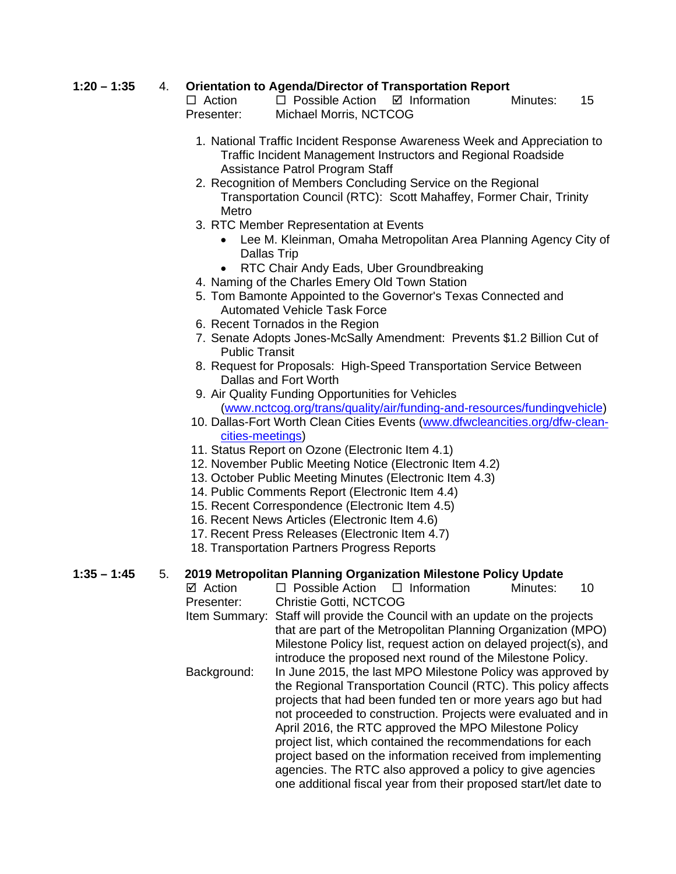# **1:20 – 1:35** 4. **Orientation to Agenda/Director of Transportation Report**

 $\Box$  Action  $\Box$  Possible Action  $\Box$  Information Minutes: 15 Presenter: Michael Morris, NCTCOG

- 1. National Traffic Incident Response Awareness Week and Appreciation to Traffic Incident Management Instructors and Regional Roadside Assistance Patrol Program Staff
- 2. Recognition of Members Concluding Service on the Regional Transportation Council (RTC): Scott Mahaffey, Former Chair, Trinity Metro
- 3. RTC Member Representation at Events
	- Lee M. Kleinman, Omaha Metropolitan Area Planning Agency City of Dallas Trip
	- RTC Chair Andy Eads, Uber Groundbreaking
- 4. Naming of the Charles Emery Old Town Station
- 5. Tom Bamonte Appointed to the Governor's Texas Connected and Automated Vehicle Task Force
- 6. Recent Tornados in the Region
- 7. Senate Adopts Jones-McSally Amendment: Prevents \$1.2 Billion Cut of Public Transit
- 8. Request for Proposals: High-Speed Transportation Service Between Dallas and Fort Worth
- 9. Air Quality Funding Opportunities for Vehicles [\(www.nctcog.org/trans/quality/air/funding-and-resources/fundingvehicle\)](http://www.nctcog.org/trans/quality/air/funding-and-resources/fundingvehicle)
- 10. Dallas-Fort Worth Clean Cities Events [\(www.dfwcleancities.org/dfw-clean](http://www.dfwcleancities.org/dfw-clean-cities-meetings)[cities-meetings\)](http://www.dfwcleancities.org/dfw-clean-cities-meetings)
- 11. Status Report on Ozone (Electronic Item 4.1)
- 12. November Public Meeting Notice (Electronic Item 4.2)
- 13. October Public Meeting Minutes (Electronic Item 4.3)
- 14. Public Comments Report (Electronic Item 4.4)
- 15. Recent Correspondence (Electronic Item 4.5)
- 16. Recent News Articles (Electronic Item 4.6)
- 17. Recent Press Releases (Electronic Item 4.7)
- 18. Transportation Partners Progress Reports

**1:35 – 1:45** 5. **2019 Metropolitan Planning Organization Milestone Policy Update**  $\Box$  Possible Action  $\Box$  Information Minutes: 10 Presenter: Christie Gotti, NCTCOG Item Summary: Staff will provide the Council with an update on the projects that are part of the Metropolitan Planning Organization (MPO) Milestone Policy list, request action on delayed project(s), and introduce the proposed next round of the Milestone Policy. Background: In June 2015, the last MPO Milestone Policy was approved by the Regional Transportation Council (RTC). This policy affects projects that had been funded ten or more years ago but had not proceeded to construction. Projects were evaluated and in April 2016, the RTC approved the MPO Milestone Policy project list, which contained the recommendations for each

project based on the information received from implementing agencies. The RTC also approved a policy to give agencies one additional fiscal year from their proposed start/let date to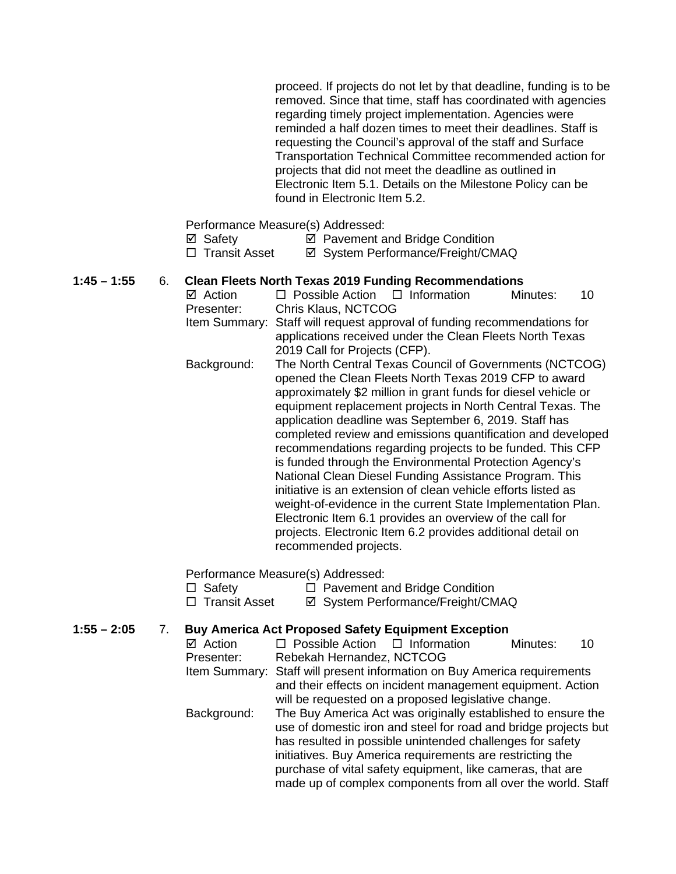proceed. If projects do not let by that deadline, funding is to be removed. Since that time, staff has coordinated with agencies regarding timely project implementation. Agencies were reminded a half dozen times to meet their deadlines. Staff is requesting the Council's approval of the staff and Surface Transportation Technical Committee recommended action for projects that did not meet the deadline as outlined in Electronic Item 5.1. Details on the Milestone Policy can be found in Electronic Item 5.2.

Performance Measure(s) Addressed:

| ⊠ Safety | ☑ Pavement and Bridge Condition |  |
|----------|---------------------------------|--|

□ Transit Asset <br>  $\Box$  Transit Asset <br>  $\Box$  System Performance/Freight/CMAQ

# **1:45 – 1:55** 6. **Clean Fleets North Texas 2019 Funding Recommendations**

- $\boxtimes$  Action  $\Box$  Possible Action  $\Box$  Information Minutes: 10 Presenter: Chris Klaus, NCTCOG Item Summary: Staff will request approval of funding recommendations for applications received under the Clean Fleets North Texas 2019 Call for Projects (CFP). Background: The North Central Texas Council of Governments (NCTCOG)
	- opened the Clean Fleets North Texas 2019 CFP to award approximately \$2 million in grant funds for diesel vehicle or equipment replacement projects in North Central Texas. The application deadline was September 6, 2019. Staff has completed review and emissions quantification and developed recommendations regarding projects to be funded. This CFP is funded through the Environmental Protection Agency's National Clean Diesel Funding Assistance Program. This initiative is an extension of clean vehicle efforts listed as weight-of-evidence in the current State Implementation Plan. Electronic Item 6.1 provides an overview of the call for projects. Electronic Item 6.2 provides additional detail on recommended projects.

Performance Measure(s) Addressed:

- $\Box$  Safety  $\Box$  Pavement and Bridge Condition
- □ Transit Asset <br>  $\Box$  Transit Asset <br>  $\Box$  System Performance/Freight/CMAQ
- **1:55 – 2:05** 7. **Buy America Act Proposed Safety Equipment Exception**

| ⊠ Action    | $\Box$ Possible Action $\Box$ Information                                                                                                                                                                                                                                                                                                                                               |                                                                                                                   | Minutes: | 10 |
|-------------|-----------------------------------------------------------------------------------------------------------------------------------------------------------------------------------------------------------------------------------------------------------------------------------------------------------------------------------------------------------------------------------------|-------------------------------------------------------------------------------------------------------------------|----------|----|
| Presenter:  | Rebekah Hernandez, NCTCOG                                                                                                                                                                                                                                                                                                                                                               |                                                                                                                   |          |    |
|             | Item Summary: Staff will present information on Buy America requirements                                                                                                                                                                                                                                                                                                                |                                                                                                                   |          |    |
|             |                                                                                                                                                                                                                                                                                                                                                                                         | and their effects on incident management equipment. Action<br>will be requested on a proposed legislative change. |          |    |
| Background: | The Buy America Act was originally established to ensure the<br>use of domestic iron and steel for road and bridge projects but<br>has resulted in possible unintended challenges for safety<br>initiatives. Buy America requirements are restricting the<br>purchase of vital safety equipment, like cameras, that are<br>made up of complex components from all over the world. Staff |                                                                                                                   |          |    |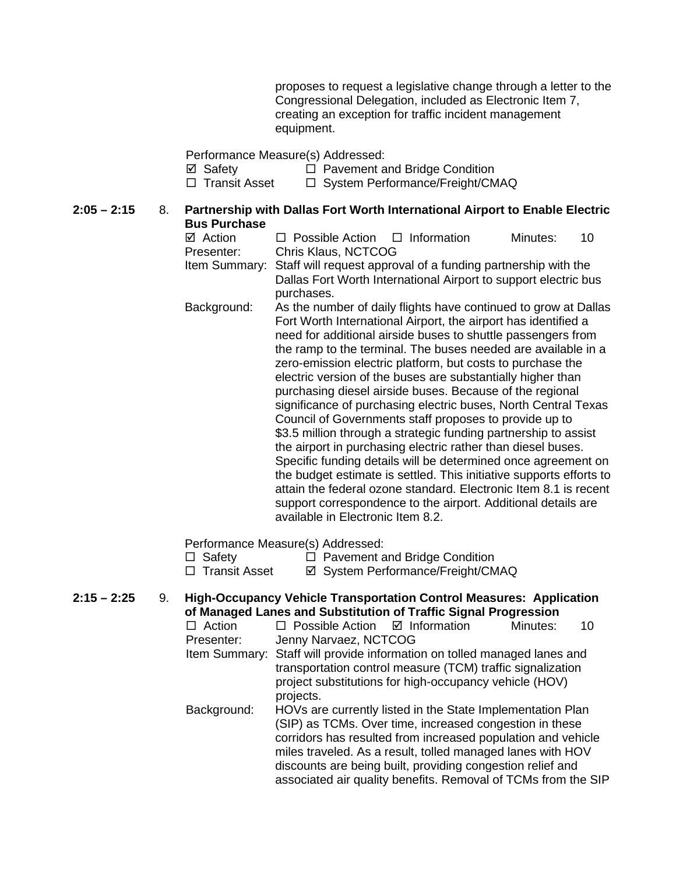proposes to request a legislative change through a letter to the Congressional Delegation, included as Electronic Item 7, creating an exception for traffic incident management equipment.

Performance Measure(s) Addressed:

**Ø** Safety **D** Pavement and Bridge Condition<br> **D** System Performance/Freight/CM

□ System Performance/Freight/CMAQ

#### **2:05 – 2:15** 8. **Partnership with Dallas Fort Worth International Airport to Enable Electric Bus Purchase**

| ⊠ Action<br>Presenter:                                                              | $\Box$ Possible Action $\Box$ Information<br>Chris Klaus, NCTCOG                                                                                                                                                                                                                                                                                                                                                                                                                                                                                                                                                                                                                                                                                                                                                                                                                                                                                                                                                                                           |  |  | Minutes: | 10 |
|-------------------------------------------------------------------------------------|------------------------------------------------------------------------------------------------------------------------------------------------------------------------------------------------------------------------------------------------------------------------------------------------------------------------------------------------------------------------------------------------------------------------------------------------------------------------------------------------------------------------------------------------------------------------------------------------------------------------------------------------------------------------------------------------------------------------------------------------------------------------------------------------------------------------------------------------------------------------------------------------------------------------------------------------------------------------------------------------------------------------------------------------------------|--|--|----------|----|
| Item Summary:                                                                       | Staff will request approval of a funding partnership with the<br>Dallas Fort Worth International Airport to support electric bus                                                                                                                                                                                                                                                                                                                                                                                                                                                                                                                                                                                                                                                                                                                                                                                                                                                                                                                           |  |  |          |    |
| Background:                                                                         | purchases.<br>As the number of daily flights have continued to grow at Dallas<br>Fort Worth International Airport, the airport has identified a<br>need for additional airside buses to shuttle passengers from<br>the ramp to the terminal. The buses needed are available in a<br>zero-emission electric platform, but costs to purchase the<br>electric version of the buses are substantially higher than<br>purchasing diesel airside buses. Because of the regional<br>significance of purchasing electric buses, North Central Texas<br>Council of Governments staff proposes to provide up to<br>\$3.5 million through a strategic funding partnership to assist<br>the airport in purchasing electric rather than diesel buses.<br>Specific funding details will be determined once agreement on<br>the budget estimate is settled. This initiative supports efforts to<br>attain the federal ozone standard. Electronic Item 8.1 is recent<br>support correspondence to the airport. Additional details are<br>available in Electronic Item 8.2. |  |  |          |    |
| Performance Measure(s) Addressed:<br>Dovement and Dridge Candition<br>$\Box$ Cofotu |                                                                                                                                                                                                                                                                                                                                                                                                                                                                                                                                                                                                                                                                                                                                                                                                                                                                                                                                                                                                                                                            |  |  |          |    |

□ Safety □ Pavement and Bridge Condition

□ Transit Asset  $\Box$  System Performance/Freight/CMAQ

**2:15 – 2:25** 9. **High-Occupancy Vehicle Transportation Control Measures: Application of Managed Lanes and Substitution of Traffic Signal Progression**<br>□ Action □ Possible Action □ Information Minutes:  $\Box$  Possible Action  $\Box$  Information Minutes: 10 Presenter: Jenny Narvaez, NCTCOG Item Summary: Staff will provide information on tolled managed lanes and transportation control measure (TCM) traffic signalization project substitutions for high-occupancy vehicle (HOV) projects. Background: HOVs are currently listed in the State Implementation Plan (SIP) as TCMs. Over time, increased congestion in these corridors has resulted from increased population and vehicle miles traveled. As a result, tolled managed lanes with HOV discounts are being built, providing congestion relief and associated air quality benefits. Removal of TCMs from the SIP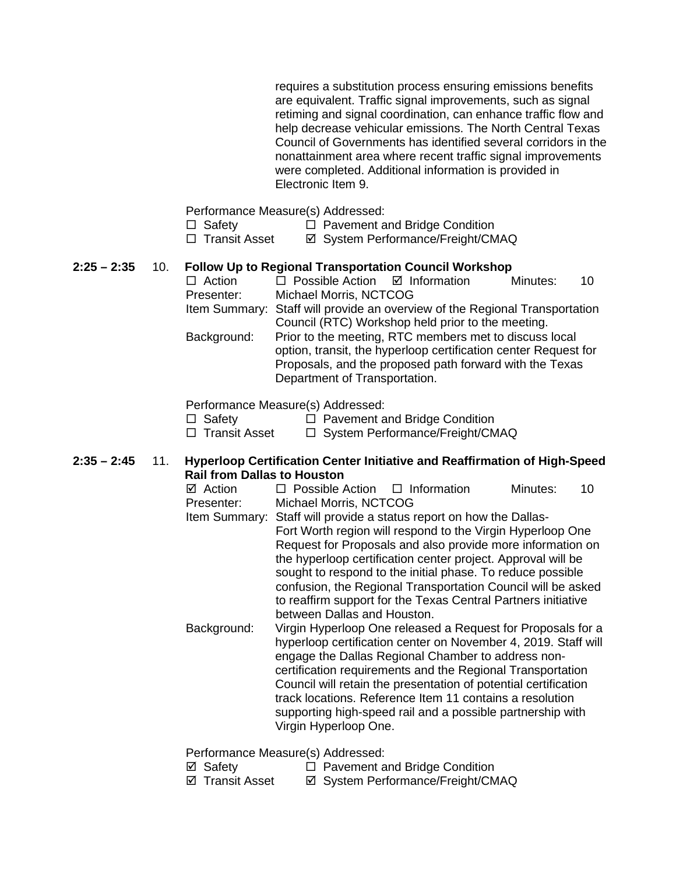requires a substitution process ensuring emissions benefits are equivalent. Traffic signal improvements, such as signal retiming and signal coordination, can enhance traffic flow and help decrease vehicular emissions. The North Central Texas Council of Governments has identified several corridors in the nonattainment area where recent traffic signal improvements were completed. Additional information is provided in Electronic Item 9.

Performance Measure(s) Addressed:

- $\Box$  Safety  $\Box$  Pavement and Bridge Condition
- □ Transit Asset  $\Box$  System Performance/Freight/CMAQ

# **2:25 – 2:35** 10. **Follow Up to Regional Transportation Council Workshop**

| $\Box$ Action | $\Box$ Possible Action $\Box$ Information                                                                                                                                                                             |  | Minutes: | 10 |  |
|---------------|-----------------------------------------------------------------------------------------------------------------------------------------------------------------------------------------------------------------------|--|----------|----|--|
| Presenter:    | Michael Morris, NCTCOG                                                                                                                                                                                                |  |          |    |  |
|               | Item Summary: Staff will provide an overview of the Regional Transportation                                                                                                                                           |  |          |    |  |
|               | Council (RTC) Workshop held prior to the meeting.                                                                                                                                                                     |  |          |    |  |
| Background:   | Prior to the meeting, RTC members met to discuss local<br>option, transit, the hyperloop certification center Request for<br>Proposals, and the proposed path forward with the Texas<br>Department of Transportation. |  |          |    |  |

## Performance Measure(s) Addressed:

 $\Box$  Safety  $\Box$  Pavement and Bridge Condition  $\Box$  Transit Asset  $\Box$  System Performance/Freight/CM

 $\Box$  System Performance/Freight/CMAQ

## **2:35 – 2:45** 11. **Hyperloop Certification Center Initiative and Reaffirmation of High-Speed Rail from Dallas to Houston**

| ⊠ Action   | $\Box$ Possible Action $\Box$ Information |  | Minutes: |  |  |
|------------|-------------------------------------------|--|----------|--|--|
| Presenter: | Michael Morris, NCTCOG                    |  |          |  |  |

- Item Summary: Staff will provide a status report on how the Dallas-Fort Worth region will respond to the Virgin Hyperloop One Request for Proposals and also provide more information on the hyperloop certification center project. Approval will be sought to respond to the initial phase. To reduce possible confusion, the Regional Transportation Council will be asked to reaffirm support for the Texas Central Partners initiative between Dallas and Houston.
- Background: Virgin Hyperloop One released a Request for Proposals for a hyperloop certification center on November 4, 2019. Staff will engage the Dallas Regional Chamber to address noncertification requirements and the Regional Transportation Council will retain the presentation of potential certification track locations. Reference Item 11 contains a resolution supporting high-speed rail and a possible partnership with Virgin Hyperloop One.

Performance Measure(s) Addressed:

<p>✓ Safety</p>\n<p>□ Pavement and Bridge Condition</p>\n<p>✓ Transit Asset</p>\n<p>✓ System Performance/Freicht/CM</p> **Ø System Performance/Freight/CMAQ**